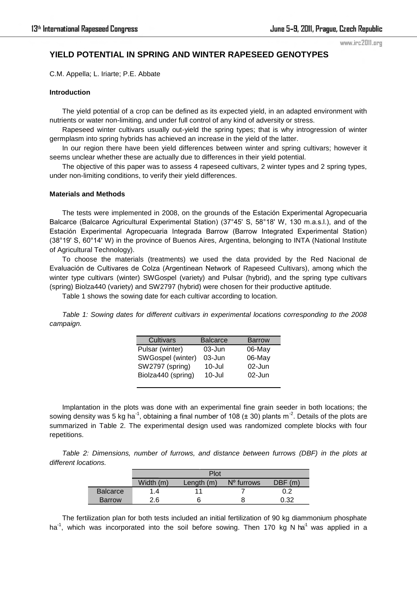# **YIELD POTENTIAL IN SPRING AND WINTER RAPESEED GENOTYPES**

C.M. Appella; L. Iriarte; P.E. Abbate

#### **Introduction**

The yield potential of a crop can be defined as its expected yield, in an adapted environment with nutrients or water non-limiting, and under full control of any kind of adversity or stress.

Rapeseed winter cultivars usually out-yield the spring types; that is why introgression of winter germplasm into spring hybrids has achieved an increase in the yield of the latter.

In our region there have been yield differences between winter and spring cultivars; however it seems unclear whether these are actually due to differences in their yield potential.

The objective of this paper was to assess 4 rapeseed cultivars, 2 winter types and 2 spring types, under non-limiting conditions, to verify their yield differences.

### **Materials and Methods**

The tests were implemented in 2008, on the grounds of the Estación Experimental Agropecuaria Balcarce (Balcarce Agricultural Experimental Station) (37°45' S, 58°18' W, 130 m.a.s.l.), and of the Estación Experimental Agropecuaria Integrada Barrow (Barrow Integrated Experimental Station) (38°19' S, 60°14' W) in the province of Buenos Aires, Argentina, belonging to INTA (National Institute of Agricultural Technology).

To choose the materials (treatments) we used the data provided by the Red Nacional de Evaluación de Cultivares de Colza (Argentinean Network of Rapeseed Cultivars), among which the winter type cultivars (winter) SWGospel (variety) and Pulsar (hybrid), and the spring type cultivars (spring) Biolza440 (variety) and SW2797 (hybrid) were chosen for their productive aptitude.

Table 1 shows the sowing date for each cultivar according to location.

*Table 1: Sowing dates for different cultivars in experimental locations corresponding to the 2008 campaign.* 

| Cultivars          | <b>Balcarce</b> | <b>Barrow</b> |
|--------------------|-----------------|---------------|
| Pulsar (winter)    | $03 - Jun$      | 06-May        |
| SWGospel (winter)  | $03 - Jun$      | 06-May        |
| SW2797 (spring)    | $10 -$ Jul      | $02$ -Jun     |
| Biolza440 (spring) | $10 -$ Jul      | $02$ -Jun     |
|                    |                 |               |

Implantation in the plots was done with an experimental fine grain seeder in both locations; the sowing density was 5 kg ha<sup>-1</sup>, obtaining a final number of 108 ( $\pm$  30) plants m<sup>-2</sup>. Details of the plots are summarized in Table 2. The experimental design used was randomized complete blocks with four repetitions.

*Table 2: Dimensions, number of furrows, and distance between furrows (DBF) in the plots at different locations.* 

|                 | Plot          |              |            |        |
|-----------------|---------------|--------------|------------|--------|
|                 | Width (m)     | Length $(m)$ | N° furrows | DBF(m) |
| <b>Balcarce</b> | $\mathcal{A}$ |              |            | 0.2    |
| <b>Barrow</b>   | 2.6           |              |            | 0.32   |

The fertilization plan for both tests included an initial fertilization of 90 kg diammonium phosphate ha<sup>-1</sup>, which was incorporated into the soil before sowing. Then 170 kg N ha<sup>-1</sup> was applied in a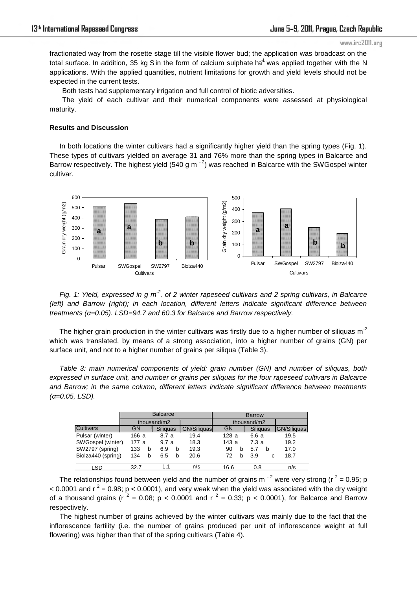fractionated way from the rosette stage till the visible flower bud; the application was broadcast on the total surface. In addition, 35 kg S in the form of calcium sulphate ha<sup>1</sup> was applied together with the N applications. With the applied quantities, nutrient limitations for growth and yield levels should not be expected in the current tests.

Both tests had supplementary irrigation and full control of biotic adversities.

The yield of each cultivar and their numerical components were assessed at physiological maturity.

## **Results and Discussion**

In both locations the winter cultivars had a significantly higher yield than the spring types (Fig. 1). These types of cultivars yielded on average 31 and 76% more than the spring types in Balcarce and Barrow respectively. The highest yield (540 g m $^{-2}$ ) was reached in Balcarce with the SWGospel winter cultivar.



*Fig. 1: Yield, expressed in g m<sup>2</sup>, of 2 winter rapeseed cultivars and 2 spring cultivars, in Balcarce (left) and Barrow (right); in each location, different letters indicate significant difference between treatments (α=0.05). LSD=94.7 and 60.3 for Balcarce and Barrow respectively.*

The higher grain production in the winter cultivars was firstly due to a higher number of siliquas  $m<sup>-2</sup>$ which was translated, by means of a strong association, into a higher number of grains (GN) per surface unit, and not to a higher number of grains per siliqua (Table 3).

*Table 3: main numerical components of yield: grain number (GN) and number of siliquas, both expressed in surface unit, and number or grains per siliquas for the four rapeseed cultivars in Balcarce and Barrow; in the same column, different letters indicate significant difference between treatments (α=0.05, LSD).*

|                    | <b>Balcarce</b> |                 | <b>Barrow</b>      |           |          |             |
|--------------------|-----------------|-----------------|--------------------|-----------|----------|-------------|
|                    | thousand/m2     |                 | thousand/m2        |           |          |             |
| <b>Cultivars</b>   | <b>GN</b>       | <b>Siliquas</b> | <b>GN/Siliquas</b> | <b>GN</b> | Siliquas | GN/Siliquas |
| Pulsar (winter)    | 166 a           | 8.7 a           | 19.4               | 128a      | 6.6 a    | 19.5        |
| SWGospel (winter)  | 177 a           | 9.7a            | 18.3               | 143a      | 7.3a     | 19.2        |
| SW2797 (spring)    | 133<br>b        | 6.9<br>b        | 19.3               | 90<br>h   | 5.7<br>b | 17.0        |
| Biolza440 (spring) | 134<br>b        | 6.5<br>b        | 20.6               | 72<br>h   | 3.9<br>C | 18.7        |
| LSD                | 32.7            | 1.1             | n/s                | 16.6      | 0.8      | n/s         |

The relationships found between yield and the number of grains m<sup>-2</sup> were very strong (r<sup>2</sup> = 0.95; p  $<$  0.0001 and r<sup>2</sup> = 0.98; p  $<$  0.0001), and very weak when the yield was associated with the dry weight of a thousand grains (r  $^2$  = 0.08; p < 0.0001 and r  $^2$  = 0.33; p < 0.0001), for Balcarce and Barrow respectively.

The highest number of grains achieved by the winter cultivars was mainly due to the fact that the inflorescence fertility (i.e. the number of grains produced per unit of inflorescence weight at full flowering) was higher than that of the spring cultivars (Table 4).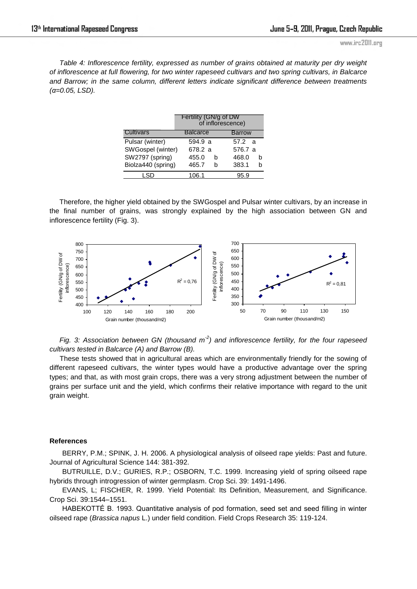*Table 4: Inflorescence fertility, expressed as number of grains obtained at maturity per dry weight of inflorescence at full flowering, for two winter rapeseed cultivars and two spring cultivars, in Balcarce and Barrow; in the same column, different letters indicate significant difference between treatments (α=0.05, LSD).*

|                    | Fertility (GN/g of DW<br>of inflorescence) |                 |  |  |
|--------------------|--------------------------------------------|-----------------|--|--|
| Cultivars          | <b>Balcarce</b>                            | <b>Barrow</b>   |  |  |
| Pulsar (winter)    | 594.9 a                                    | 57.2 a          |  |  |
| SWGospel (winter)  | 678.2 a                                    | 576.7 a         |  |  |
| SW2797 (spring)    | 455.0                                      | 468.0<br>h<br>h |  |  |
| Biolza440 (spring) | 465.7                                      | 383.1<br>h<br>h |  |  |
| i SD               | 106.1                                      | 95.9            |  |  |

Therefore, the higher yield obtained by the SWGospel and Pulsar winter cultivars, by an increase in the final number of grains, was strongly explained by the high association between GN and inflorescence fertility (Fig. 3).



*Fig. 3: Association between GN (thousand m<sup>-2</sup>) and inflorescence fertility, for the four rapeseed cultivars tested in Balcarce (A) and Barrow (B).* 

These tests showed that in agricultural areas which are environmentally friendly for the sowing of different rapeseed cultivars, the winter types would have a productive advantage over the spring types; and that, as with most grain crops, there was a very strong adjustment between the number of grains per surface unit and the yield, which confirms their relative importance with regard to the unit grain weight.

#### **References**

BERRY, P.M.; SPINK, J. H. 2006. A physiological analysis of oilseed rape yields: Past and future. Journal of Agricultural Science 144: 381-392.

BUTRUILLE, D.V.; GURIES, R.P.; OSBORN, T.C. 1999. Increasing yield of spring oilseed rape hybrids through introgression of winter germplasm. Crop Sci. 39: 1491-1496.

EVANS, L; FISCHER, R. 1999. Yield Potential: Its Definition, Measurement, and Significance. Crop Sci. 39:1544–1551.

HABEKOTTÉ B. 1993. Quantitative analysis of pod formation, seed set and seed filling in winter oilseed rape (*Brassica napus* L.) under field condition. Field Crops Research 35: 119-124.